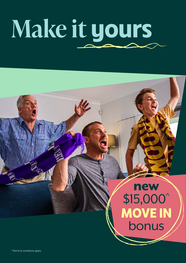## **Make it yours**

## new \$15,000<sup>^</sup> **MOVE IN** bonus